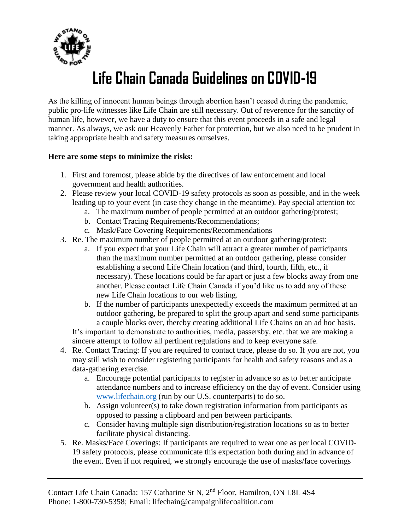

## **Life Chain Canada Guidelines on COVID-19**

As the killing of innocent human beings through abortion hasn't ceased during the pandemic, public pro-life witnesses like Life Chain are still necessary. Out of reverence for the sanctity of human life, however, we have a duty to ensure that this event proceeds in a safe and legal manner. As always, we ask our Heavenly Father for protection, but we also need to be prudent in taking appropriate health and safety measures ourselves.

## **Here are some steps to minimize the risks:**

- 1. First and foremost, please abide by the directives of law enforcement and local government and health authorities.
- 2. Please review your local COVID-19 safety protocols as soon as possible, and in the week leading up to your event (in case they change in the meantime). Pay special attention to:
	- a. The maximum number of people permitted at an outdoor gathering/protest;
	- b. Contact Tracing Requirements/Recommendations;
	- c. Mask/Face Covering Requirements/Recommendations
- 3. Re. The maximum number of people permitted at an outdoor gathering/protest:
	- a. If you expect that your Life Chain will attract a greater number of participants than the maximum number permitted at an outdoor gathering, please consider establishing a second Life Chain location (and third, fourth, fifth, etc., if necessary). These locations could be far apart or just a few blocks away from one another. Please contact Life Chain Canada if you'd like us to add any of these new Life Chain locations to our web listing.
	- b. If the number of participants unexpectedly exceeds the maximum permitted at an outdoor gathering, be prepared to split the group apart and send some participants a couple blocks over, thereby creating additional Life Chains on an ad hoc basis.

It's important to demonstrate to authorities, media, passersby, etc. that we are making a sincere attempt to follow all pertinent regulations and to keep everyone safe.

- 4. Re. Contact Tracing: If you are required to contact trace, please do so. If you are not, you may still wish to consider registering participants for health and safety reasons and as a data-gathering exercise.
	- a. Encourage potential participants to register in advance so as to better anticipate attendance numbers and to increase efficiency on the day of event. Consider using [www.lifechain.org](http://www.lifechain.org/) (run by our U.S. counterparts) to do so.
	- b. Assign volunteer(s) to take down registration information from participants as opposed to passing a clipboard and pen between participants.
	- c. Consider having multiple sign distribution/registration locations so as to better facilitate physical distancing.
- 5. Re. Masks/Face Coverings: If participants are required to wear one as per local COVID-19 safety protocols, please communicate this expectation both during and in advance of the event. Even if not required, we strongly encourage the use of masks/face coverings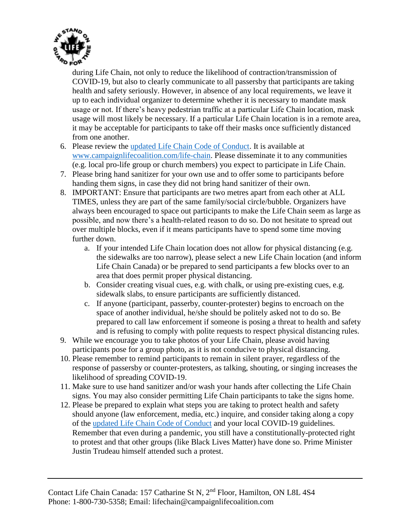

during Life Chain, not only to reduce the likelihood of contraction/transmission of COVID-19, but also to clearly communicate to all passersby that participants are taking health and safety seriously. However, in absence of any local requirements, we leave it up to each individual organizer to determine whether it is necessary to mandate mask usage or not. If there's heavy pedestrian traffic at a particular Life Chain location, mask usage will most likely be necessary. If a particular Life Chain location is in a remote area, it may be acceptable for participants to take off their masks once sufficiently distanced from one another.

- 6. Please review the [updated Life Chain Code of Conduct.](https://www.campaignlifecoalition.com/shared/media/editor/file/2020%20Life%20Chain%20Code%20of%20Conduct%281%29.pdf) It is available at [www.campaignlifecoalition.com/life-chain.](http://www.campaignlifecoalition.com/life-chain) Please disseminate it to any communities (e.g. local pro-life group or church members) you expect to participate in Life Chain.
- 7. Please bring hand sanitizer for your own use and to offer some to participants before handing them signs, in case they did not bring hand sanitizer of their own.
- 8. IMPORTANT: Ensure that participants are two metres apart from each other at ALL TIMES, unless they are part of the same family/social circle/bubble. Organizers have always been encouraged to space out participants to make the Life Chain seem as large as possible, and now there's a health-related reason to do so. Do not hesitate to spread out over multiple blocks, even if it means participants have to spend some time moving further down.
	- a. If your intended Life Chain location does not allow for physical distancing (e.g. the sidewalks are too narrow), please select a new Life Chain location (and inform Life Chain Canada) or be prepared to send participants a few blocks over to an area that does permit proper physical distancing.
	- b. Consider creating visual cues, e.g. with chalk, or using pre-existing cues, e.g. sidewalk slabs, to ensure participants are sufficiently distanced.
	- c. If anyone (participant, passerby, counter-protester) begins to encroach on the space of another individual, he/she should be politely asked not to do so. Be prepared to call law enforcement if someone is posing a threat to health and safety and is refusing to comply with polite requests to respect physical distancing rules.
- 9. While we encourage you to take photos of your Life Chain, please avoid having participants pose for a group photo, as it is not conducive to physical distancing.
- 10. Please remember to remind participants to remain in silent prayer, regardless of the response of passersby or counter-protesters, as talking, shouting, or singing increases the likelihood of spreading COVID-19.
- 11. Make sure to use hand sanitizer and/or wash your hands after collecting the Life Chain signs. You may also consider permitting Life Chain participants to take the signs home.
- 12. Please be prepared to explain what steps you are taking to protect health and safety should anyone (law enforcement, media, etc.) inquire, and consider taking along a copy of the [updated Life Chain Code of Conduct](https://www.campaignlifecoalition.com/shared/media/editor/file/2020%20Life%20Chain%20Code%20of%20Conduct%281%29.pdf) and your local COVID-19 guidelines. Remember that even during a pandemic, you still have a constitutionally-protected right to protest and that other groups (like Black Lives Matter) have done so. Prime Minister Justin Trudeau himself attended such a protest.